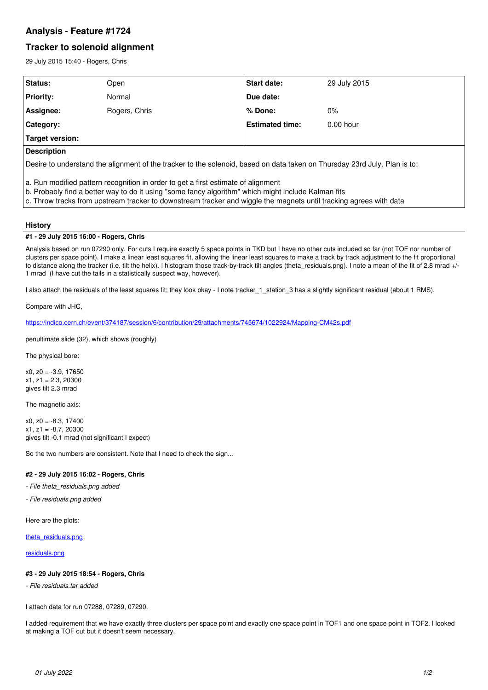# **Analysis - Feature #1724**

# **Tracker to solenoid alignment**

29 July 2015 15:40 - Rogers, Chris

| Status:                                                                                                                                                                                                                                                                                                        | Open          | <b>Start date:</b>     | 29 July 2015 |  |
|----------------------------------------------------------------------------------------------------------------------------------------------------------------------------------------------------------------------------------------------------------------------------------------------------------------|---------------|------------------------|--------------|--|
| <b>Priority:</b>                                                                                                                                                                                                                                                                                               | Normal        | Due date:              |              |  |
| Assignee:                                                                                                                                                                                                                                                                                                      | Rogers, Chris | % Done:                | $0\%$        |  |
| Category:                                                                                                                                                                                                                                                                                                      |               | <b>Estimated time:</b> | $0.00$ hour  |  |
| <b>Target version:</b>                                                                                                                                                                                                                                                                                         |               |                        |              |  |
| <b>Description</b>                                                                                                                                                                                                                                                                                             |               |                        |              |  |
| Desire to understand the alignment of the tracker to the solenoid, based on data taken on Thursday 23rd July. Plan is to:                                                                                                                                                                                      |               |                        |              |  |
| a. Run modified pattern recognition in order to get a first estimate of alignment<br>b. Probably find a better way to do it using "some fancy algorithm" which might include Kalman fits<br>c. Throw tracks from upstream tracker to downstream tracker and wiggle the magnets until tracking agrees with data |               |                        |              |  |

# **History**

### **#1 - 29 July 2015 16:00 - Rogers, Chris**

Analysis based on run 07290 only. For cuts I require exactly 5 space points in TKD but I have no other cuts included so far (not TOF nor number of clusters per space point). I make a linear least squares fit, allowing the linear least squares to make a track by track adjustment to the fit proportional to distance along the tracker (i.e. tilt the helix). I histogram those track-by-track tilt angles (theta\_residuals.png). I note a mean of the fit of 2.8 mrad +/-1 mrad (I have cut the tails in a statistically suspect way, however).

I also attach the residuals of the least squares fit; they look okay - I note tracker\_1\_station\_3 has a slightly significant residual (about 1 RMS).

Compare with JHC,

<https://indico.cern.ch/event/374187/session/6/contribution/29/attachments/745674/1022924/Mapping-CM42s.pdf>

penultimate slide (32), which shows (roughly)

The physical bore:

x0, z0 = -3.9, 17650  $x1, z1 = 2.3, 20300$ gives tilt 2.3 mrad

The magnetic axis:

 $x0, z0 = -8.3, 17400$ x1, z1 = -8.7, 20300 gives tilt -0.1 mrad (not significant I expect)

So the two numbers are consistent. Note that I need to check the sign...

# **#2 - 29 July 2015 16:02 - Rogers, Chris**

- *File theta\_residuals.png added*
- *File residuals.png added*

Here are the plots:

[theta\\_residuals.png](https://micewww.pp.rl.ac.uk/attachments/4472)

[residuals.png](https://micewww.pp.rl.ac.uk/attachments/4473)

## **#3 - 29 July 2015 18:54 - Rogers, Chris**

*- File residuals.tar added*

I attach data for run 07288, 07289, 07290.

I added requirement that we have exactly three clusters per space point and exactly one space point in TOF1 and one space point in TOF2. I looked at making a TOF cut but it doesn't seem necessary.